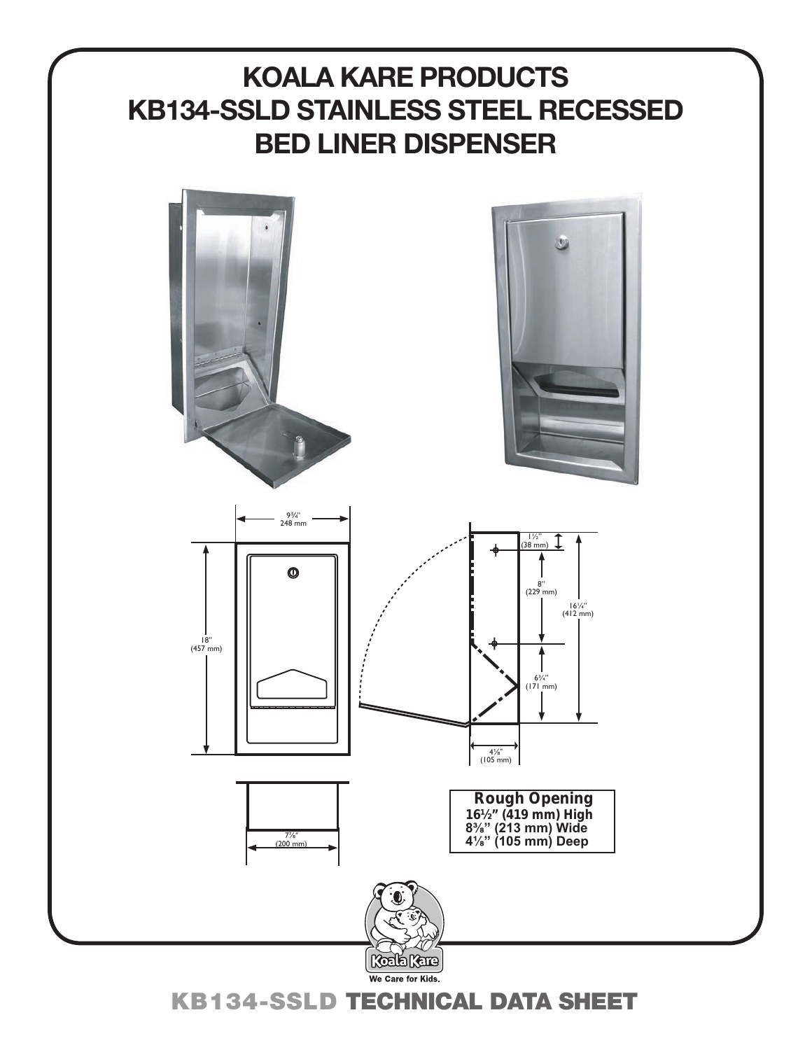# **KOALA KARE PRODUCTS KB134-SSLD STAINLESS STEEL RECESSED BED LINER DISPENSER**



KB134-SSLD TECHNICAL DATA SHEET